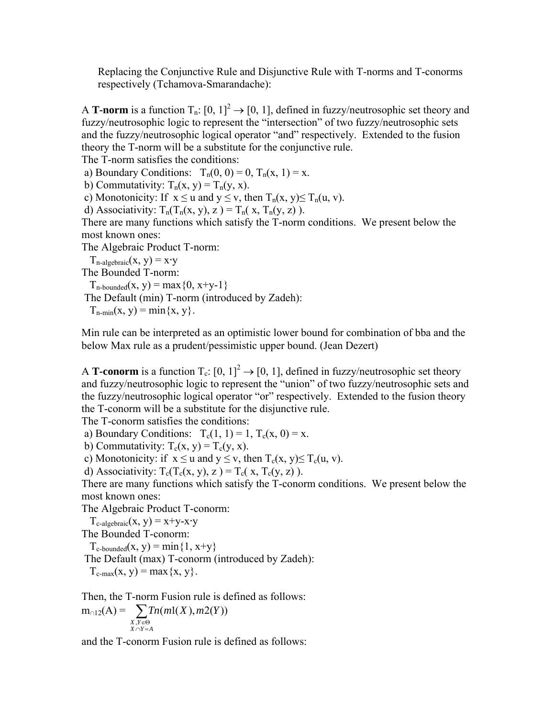Replacing the Conjunctive Rule and Disjunctive Rule with T-norms and T-conorms respectively (Tchamova-Smarandache):

A **T-norm** is a function  $T_n: [0, 1]^2 \to [0, 1]$ , defined in fuzzy/neutrosophic set theory and fuzzy/neutrosophic logic to represent the "intersection" of two fuzzy/neutrosophic sets and the fuzzy/neutrosophic logical operator "and" respectively. Extended to the fusion theory the T-norm will be a substitute for the conjunctive rule.

The T-norm satisfies the conditions:

a) Boundary Conditions:  $T_n(0, 0) = 0$ ,  $T_n(x, 1) = x$ .

b) Commutativity:  $T_n(x, y) = T_n(y, x)$ .

c) Monotonicity: If  $x \le u$  and  $y \le v$ , then  $T_n(x, y) \le T_n(u, v)$ .

d) Associativity:  $T_n(T_n(x, y), z) = T_n(x, T_n(y, z))$ .

There are many functions which satisfy the T-norm conditions. We present below the most known ones:

The Algebraic Product T-norm:

 $T_{\text{n-algebraic}}(x, y) = x \cdot y$ 

The Bounded T-norm:

 $T_{n\text{-bounded}}(x, y) = \max\{0, x+y-1\}$ 

The Default (min) T-norm (introduced by Zadeh):

 $T_{n-min}(x, y) = min\{x, y\}.$ 

Min rule can be interpreted as an optimistic lower bound for combination of bba and the below Max rule as a prudent/pessimistic upper bound. (Jean Dezert)

A **T-conorm** is a function  $T_c$ :  $[0, 1]^2 \rightarrow [0, 1]$ , defined in fuzzy/neutrosophic set theory and fuzzy/neutrosophic logic to represent the "union" of two fuzzy/neutrosophic sets and the fuzzy/neutrosophic logical operator "or" respectively. Extended to the fusion theory the T-conorm will be a substitute for the disjunctive rule.

The T-conorm satisfies the conditions:

a) Boundary Conditions:  $T_c(1, 1) = 1$ ,  $T_c(x, 0) = x$ .

b) Commutativity:  $T_c(x, y) = T_c(y, x)$ .

c) Monotonicity: if  $x \le u$  and  $y \le v$ , then  $T_c(x, y) \le T_c(u, v)$ .

d) Associativity:  $T_c(T_c(x, y), z) = T_c(x, T_c(y, z))$ .

There are many functions which satisfy the T-conorm conditions. We present below the most known ones:

The Algebraic Product T-conorm:

 $T_{c\text{-algebraic}}(x, y) = x+y-x \cdot y$ 

The Bounded T-conorm:

 $T_{c-bounded}(x, y) = min\{1, x+y\}$ 

The Default (max) T-conorm (introduced by Zadeh):

 $T_{c-max}(x, y) = max\{x, y\}.$ 

Then, the T-norm Fusion rule is defined as follows:

$$
m_{\cap 12}(A) = \sum_{\substack{X,Y \in \Theta \\ X \cap Y = A}} \text{Tr}(m1(X),m2(Y))
$$

and the T-conorm Fusion rule is defined as follows: